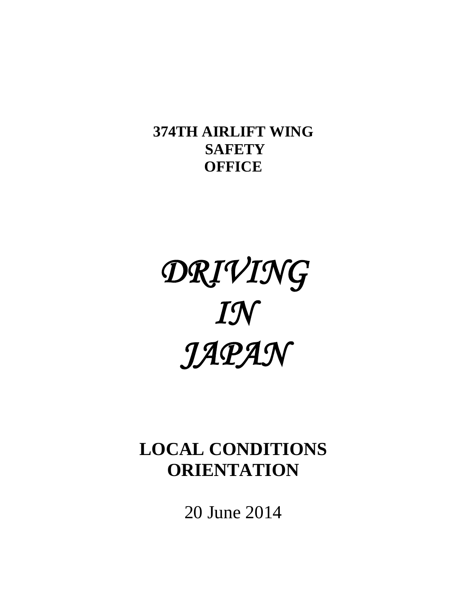# **374TH AIRLIFT WING SAFETY OFFICE**

# *DRIVING IN JAPAN*

# **LOCAL CONDITIONS ORIENTATION**

20 June 2014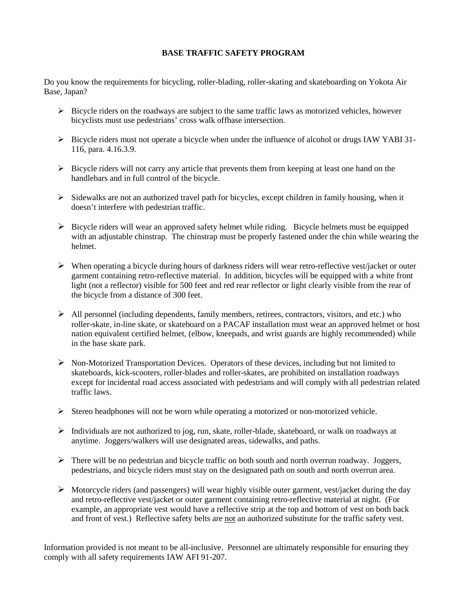#### **BASE TRAFFIC SAFETY PROGRAM**

Do you know the requirements for bicycling, roller-blading, roller-skating and skateboarding on Yokota Air Base, Japan?

- $\triangleright$  Bicycle riders on the roadways are subject to the same traffic laws as motorized vehicles, however bicyclists must use pedestrians' cross walk offbase intersection.
- $\triangleright$  Bicycle riders must not operate a bicycle when under the influence of alcohol or drugs IAW YABI 31-116, para. 4.16.3.9.
- $\triangleright$  Bicycle riders will not carry any article that prevents them from keeping at least one hand on the handlebars and in full control of the bicycle.
- $\triangleright$  Sidewalks are not an authorized travel path for bicycles, except children in family housing, when it doesn't interfere with pedestrian traffic.
- $\triangleright$  Bicycle riders will wear an approved safety helmet while riding. Bicycle helmets must be equipped with an adjustable chinstrap. The chinstrap must be properly fastened under the chin while wearing the helmet.
- $\triangleright$  When operating a bicycle during hours of darkness riders will wear retro-reflective vest/jacket or outer garment containing retro-reflective material. In addition, bicycles will be equipped with a white front light (not a reflector) visible for 500 feet and red rear reflector or light clearly visible from the rear of the bicycle from a distance of 300 feet.
- $\triangleright$  All personnel (including dependents, family members, retirees, contractors, visitors, and etc.) who roller-skate, in-line skate, or skateboard on a PACAF installation must wear an approved helmet or host nation equivalent certified helmet, (elbow, kneepads, and wrist guards are highly recommended) while in the base skate park.
- $\triangleright$  Non-Motorized Transportation Devices. Operators of these devices, including but not limited to skateboards, kick-scooters, roller-blades and roller-skates, are prohibited on installation roadways except for incidental road access associated with pedestrians and will comply with all pedestrian related traffic laws.
- $\triangleright$  Stereo headphones will not be worn while operating a motorized or non-motorized vehicle.
- $\triangleright$  Individuals are not authorized to jog, run, skate, roller-blade, skateboard, or walk on roadways at anytime. Joggers/walkers will use designated areas, sidewalks, and paths.
- $\triangleright$  There will be no pedestrian and bicycle traffic on both south and north overrun roadway. Joggers, pedestrians, and bicycle riders must stay on the designated path on south and north overrun area.
- $\triangleright$  Motorcycle riders (and passengers) will wear highly visible outer garment, vest/jacket during the day and retro-reflective vest/jacket or outer garment containing retro-reflective material at night. (For example, an appropriate vest would have a reflective strip at the top and bottom of vest on both back and front of vest.) Reflective safety belts are not an authorized substitute for the traffic safety vest.

Information provided is not meant to be all-inclusive. Personnel are ultimately responsible for ensuring they comply with all safety requirements IAW AFI 91-207.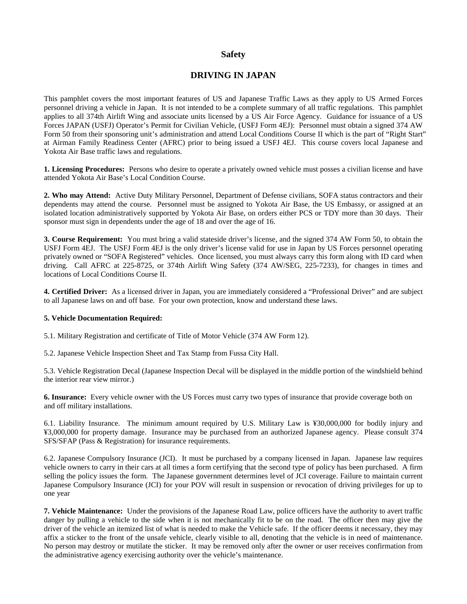#### **Safety**

#### **DRIVING IN JAPAN**

This pamphlet covers the most important features of US and Japanese Traffic Laws as they apply to US Armed Forces personnel driving a vehicle in Japan. It is not intended to be a complete summary of all traffic regulations. This pamphlet applies to all 374th Airlift Wing and associate units licensed by a US Air Force Agency. Guidance for issuance of a US Forces JAPAN (USFJ) Operator's Permit for Civilian Vehicle, (USFJ Form 4EJ): Personnel must obtain a signed 374 AW Form 50 from their sponsoring unit's administration and attend Local Conditions Course II which is the part of "Right Start" at Airman Family Readiness Center (AFRC) prior to being issued a USFJ 4EJ. This course covers local Japanese and Yokota Air Base traffic laws and regulations.

**1. Licensing Procedures:** Persons who desire to operate a privately owned vehicle must posses a civilian license and have attended Yokota Air Base's Local Condition Course.

**2. Who may Attend:** Active Duty Military Personnel, Department of Defense civilians, SOFA status contractors and their dependents may attend the course. Personnel must be assigned to Yokota Air Base, the US Embassy, or assigned at an isolated location administratively supported by Yokota Air Base, on orders either PCS or TDY more than 30 days. Their sponsor must sign in dependents under the age of 18 and over the age of 16.

**3. Course Requirement:** You must bring a valid stateside driver's license, and the signed 374 AW Form 50, to obtain the USFJ Form 4EJ. The USFJ Form 4EJ is the only driver's license valid for use in Japan by US Forces personnel operating privately owned or "SOFA Registered" vehicles. Once licensed, you must always carry this form along with ID card when driving. Call AFRC at 225-8725, or 374th Airlift Wing Safety (374 AW/SEG, 225-7233), for changes in times and locations of Local Conditions Course II.

**4. Certified Driver:** As a licensed driver in Japan, you are immediately considered a "Professional Driver" and are subject to all Japanese laws on and off base. For your own protection, know and understand these laws.

#### **5. Vehicle Documentation Required:**

5.1. Military Registration and certificate of Title of Motor Vehicle (374 AW Form 12).

5.2. Japanese Vehicle Inspection Sheet and Tax Stamp from Fussa City Hall.

5.3. Vehicle Registration Decal (Japanese Inspection Decal will be displayed in the middle portion of the windshield behind the interior rear view mirror.)

**6. Insurance:** Every vehicle owner with the US Forces must carry two types of insurance that provide coverage both on and off military installations.

6.1. Liability Insurance. The minimum amount required by U.S. Military Law is ¥30,000,000 for bodily injury and ¥3,000,000 for property damage. Insurance may be purchased from an authorized Japanese agency. Please consult 374 SFS/SFAP (Pass & Registration) for insurance requirements.

6.2. Japanese Compulsory Insurance (JCI). It must be purchased by a company licensed in Japan. Japanese law requires vehicle owners to carry in their cars at all times a form certifying that the second type of policy has been purchased. A firm selling the policy issues the form. The Japanese government determines level of JCI coverage. Failure to maintain current Japanese Compulsory Insurance (JCI) for your POV will result in suspension or revocation of driving privileges for up to one year

**7. Vehicle Maintenance:** Under the provisions of the Japanese Road Law, police officers have the authority to avert traffic danger by pulling a vehicle to the side when it is not mechanically fit to be on the road. The officer then may give the driver of the vehicle an itemized list of what is needed to make the Vehicle safe. If the officer deems it necessary, they may affix a sticker to the front of the unsafe vehicle, clearly visible to all, denoting that the vehicle is in need of maintenance. No person may destroy or mutilate the sticker. It may be removed only after the owner or user receives confirmation from the administrative agency exercising authority over the vehicle's maintenance.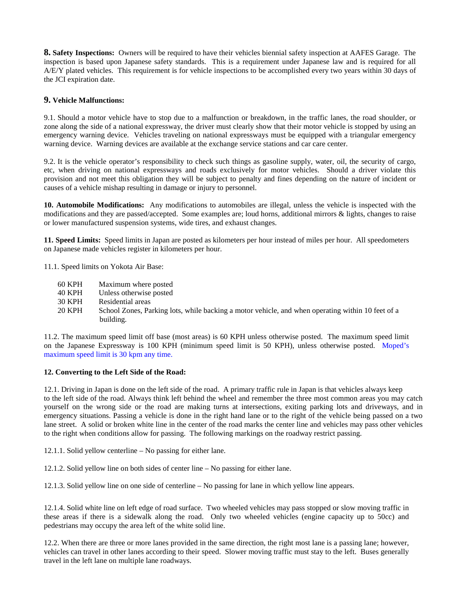**8. Safety Inspections:** Owners will be required to have their vehicles biennial safety inspection at AAFES Garage. The inspection is based upon Japanese safety standards. This is a requirement under Japanese law and is required for all A/E/Y plated vehicles. This requirement is for vehicle inspections to be accomplished every two years within 30 days of the JCI expiration date.

#### **9. Vehicle Malfunctions:**

9.1. Should a motor vehicle have to stop due to a malfunction or breakdown, in the traffic lanes, the road shoulder, or zone along the side of a national expressway, the driver must clearly show that their motor vehicle is stopped by using an emergency warning device. Vehicles traveling on national expressways must be equipped with a triangular emergency warning device. Warning devices are available at the exchange service stations and car care center.

9.2. It is the vehicle operator's responsibility to check such things as gasoline supply, water, oil, the security of cargo, etc, when driving on national expressways and roads exclusively for motor vehicles. Should a driver violate this provision and not meet this obligation they will be subject to penalty and fines depending on the nature of incident or causes of a vehicle mishap resulting in damage or injury to personnel.

**10. Automobile Modifications:** Any modifications to automobiles are illegal, unless the vehicle is inspected with the modifications and they are passed/accepted. Some examples are; loud horns, additional mirrors & lights, changes to raise or lower manufactured suspension systems, wide tires, and exhaust changes.

**11. Speed Limits:** Speed limits in Japan are posted as kilometers per hour instead of miles per hour. All speedometers on Japanese made vehicles register in kilometers per hour.

11.1. Speed limits on Yokota Air Base:

- 60 KPH Maximum where posted
- 40 KPH Unless otherwise posted
- 30 KPH Residential areas
- 20 KPH School Zones, Parking lots, while backing a motor vehicle, and when operating within 10 feet of a building.

11.2. The maximum speed limit off base (most areas) is 60 KPH unless otherwise posted. The maximum speed limit on the Japanese Expressway is 100 KPH (minimum speed limit is 50 KPH), unless otherwise posted. Moped's maximum speed limit is 30 kpm any time.

#### **12. Converting to the Left Side of the Road:**

12.1. Driving in Japan is done on the left side of the road. A primary traffic rule in Japan is that vehicles always keep to the left side of the road. Always think left behind the wheel and remember the three most common areas you may catch yourself on the wrong side or the road are making turns at intersections, exiting parking lots and driveways, and in emergency situations. Passing a vehicle is done in the right hand lane or to the right of the vehicle being passed on a two lane street. A solid or broken white line in the center of the road marks the center line and vehicles may pass other vehicles to the right when conditions allow for passing. The following markings on the roadway restrict passing.

12.1.1. Solid yellow centerline – No passing for either lane.

12.1.2. Solid yellow line on both sides of center line – No passing for either lane.

12.1.3. Solid yellow line on one side of centerline – No passing for lane in which yellow line appears.

12.1.4. Solid white line on left edge of road surface. Two wheeled vehicles may pass stopped or slow moving traffic in these areas if there is a sidewalk along the road. Only two wheeled vehicles (engine capacity up to 50cc) and pedestrians may occupy the area left of the white solid line.

12.2. When there are three or more lanes provided in the same direction, the right most lane is a passing lane; however, vehicles can travel in other lanes according to their speed. Slower moving traffic must stay to the left. Buses generally travel in the left lane on multiple lane roadways.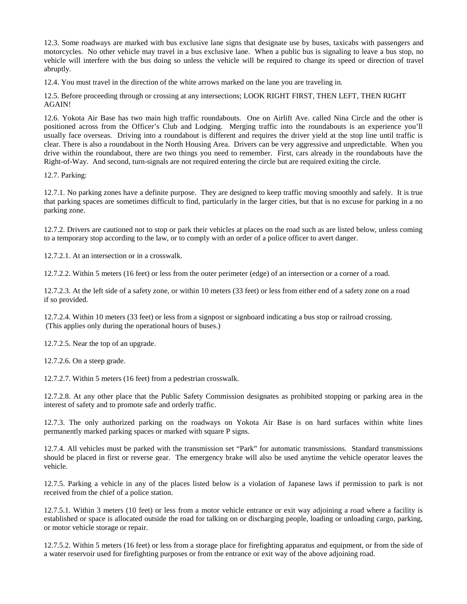12.3. Some roadways are marked with bus exclusive lane signs that designate use by buses, taxicabs with passengers and motorcycles. No other vehicle may travel in a bus exclusive lane. When a public bus is signaling to leave a bus stop, no vehicle will interfere with the bus doing so unless the vehicle will be required to change its speed or direction of travel abruptly.

12.4. You must travel in the direction of the white arrows marked on the lane you are traveling in.

12.5. Before proceeding through or crossing at any intersections; LOOK RIGHT FIRST, THEN LEFT, THEN RIGHT AGAIN!

12.6. Yokota Air Base has two main high traffic roundabouts. One on Airlift Ave. called Nina Circle and the other is positioned across from the Officer's Club and Lodging. Merging traffic into the roundabouts is an experience you'll usually face overseas. Driving into a roundabout is different and requires the driver yield at the stop line until traffic is clear. There is also a roundabout in the North Housing Area. Drivers can be very aggressive and unpredictable. When you drive within the roundabout, there are two things you need to remember. First, cars already in the roundabouts have the Right-of-Way. And second, turn-signals are not required entering the circle but are required exiting the circle.

12.7. Parking:

12.7.1. No parking zones have a definite purpose. They are designed to keep traffic moving smoothly and safely. It is true that parking spaces are sometimes difficult to find, particularly in the larger cities, but that is no excuse for parking in a no parking zone.

12.7.2. Drivers are cautioned not to stop or park their vehicles at places on the road such as are listed below, unless coming to a temporary stop according to the law, or to comply with an order of a police officer to avert danger.

12.7.2.1. At an intersection or in a crosswalk.

12.7.2.2. Within 5 meters (16 feet) or less from the outer perimeter (edge) of an intersection or a corner of a road.

12.7.2.3. At the left side of a safety zone, or within 10 meters (33 feet) or less from either end of a safety zone on a road if so provided.

12.7.2.4. Within 10 meters (33 feet) or less from a signpost or signboard indicating a bus stop or railroad crossing. (This applies only during the operational hours of buses.)

12.7.2.5. Near the top of an upgrade.

12.7.2.6. On a steep grade.

12.7.2.7. Within 5 meters (16 feet) from a pedestrian crosswalk.

12.7.2.8. At any other place that the Public Safety Commission designates as prohibited stopping or parking area in the interest of safety and to promote safe and orderly traffic.

12.7.3. The only authorized parking on the roadways on Yokota Air Base is on hard surfaces within white lines permanently marked parking spaces or marked with square P signs.

12.7.4. All vehicles must be parked with the transmission set "Park" for automatic transmissions. Standard transmissions should be placed in first or reverse gear. The emergency brake will also be used anytime the vehicle operator leaves the vehicle.

12.7.5. Parking a vehicle in any of the places listed below is a violation of Japanese laws if permission to park is not received from the chief of a police station.

12.7.5.1. Within 3 meters (10 feet) or less from a motor vehicle entrance or exit way adjoining a road where a facility is established or space is allocated outside the road for talking on or discharging people, loading or unloading cargo, parking, or motor vehicle storage or repair.

12.7.5.2. Within 5 meters (16 feet) or less from a storage place for firefighting apparatus and equipment, or from the side of a water reservoir used for firefighting purposes or from the entrance or exit way of the above adjoining road.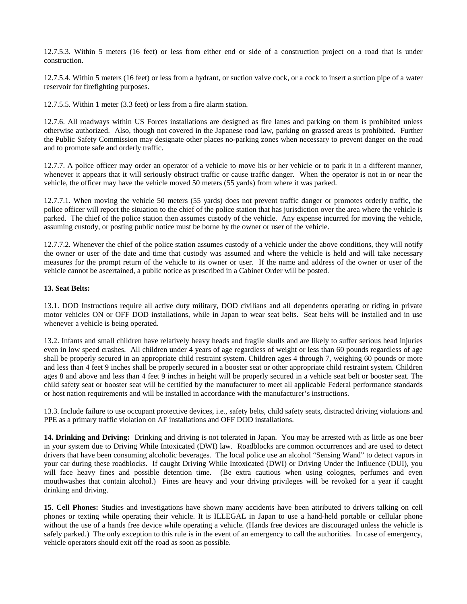12.7.5.3. Within 5 meters (16 feet) or less from either end or side of a construction project on a road that is under construction.

12.7.5.4. Within 5 meters (16 feet) or less from a hydrant, or suction valve cock, or a cock to insert a suction pipe of a water reservoir for firefighting purposes.

12.7.5.5. Within 1 meter (3.3 feet) or less from a fire alarm station.

12.7.6. All roadways within US Forces installations are designed as fire lanes and parking on them is prohibited unless otherwise authorized. Also, though not covered in the Japanese road law, parking on grassed areas is prohibited. Further the Public Safety Commission may designate other places no-parking zones when necessary to prevent danger on the road and to promote safe and orderly traffic.

12.7.7. A police officer may order an operator of a vehicle to move his or her vehicle or to park it in a different manner, whenever it appears that it will seriously obstruct traffic or cause traffic danger. When the operator is not in or near the vehicle, the officer may have the vehicle moved 50 meters (55 yards) from where it was parked.

12.7.7.1. When moving the vehicle 50 meters (55 yards) does not prevent traffic danger or promotes orderly traffic, the police officer will report the situation to the chief of the police station that has jurisdiction over the area where the vehicle is parked. The chief of the police station then assumes custody of the vehicle. Any expense incurred for moving the vehicle, assuming custody, or posting public notice must be borne by the owner or user of the vehicle.

12.7.7.2. Whenever the chief of the police station assumes custody of a vehicle under the above conditions, they will notify the owner or user of the date and time that custody was assumed and where the vehicle is held and will take necessary measures for the prompt return of the vehicle to its owner or user. If the name and address of the owner or user of the vehicle cannot be ascertained, a public notice as prescribed in a Cabinet Order will be posted.

#### **13. Seat Belts:**

13.1. DOD Instructions require all active duty military, DOD civilians and all dependents operating or riding in private motor vehicles ON or OFF DOD installations, while in Japan to wear seat belts. Seat belts will be installed and in use whenever a vehicle is being operated.

13.2. Infants and small children have relatively heavy heads and fragile skulls and are likely to suffer serious head injuries even in low speed crashes. All children under 4 years of age regardless of weight or less than 60 pounds regardless of age shall be properly secured in an appropriate child restraint system. Children ages 4 through 7, weighing 60 pounds or more and less than 4 feet 9 inches shall be properly secured in a booster seat or other appropriate child restraint system. Children ages 8 and above and less than 4 feet 9 inches in height will be properly secured in a vehicle seat belt or booster seat. The child safety seat or booster seat will be certified by the manufacturer to meet all applicable Federal performance standards or host nation requirements and will be installed in accordance with the manufacturer's instructions.

13.3. Include failure to use occupant protective devices, i.e., safety belts, child safety seats, distracted driving violations and PPE as a primary traffic violation on AF installations and OFF DOD installations.

**14. Drinking and Driving:** Drinking and driving is not tolerated in Japan. You may be arrested with as little as one beer in your system due to Driving While Intoxicated (DWI) law. Roadblocks are common occurrences and are used to detect drivers that have been consuming alcoholic beverages. The local police use an alcohol "Sensing Wand" to detect vapors in your car during these roadblocks. If caught Driving While Intoxicated (DWI) or Driving Under the Influence (DUI), you will face heavy fines and possible detention time. (Be extra cautious when using colognes, perfumes and even mouthwashes that contain alcohol.) Fines are heavy and your driving privileges will be revoked for a year if caught drinking and driving.

**15**. **Cell Phones:** Studies and investigations have shown many accidents have been attributed to drivers talking on cell phones or texting while operating their vehicle. It is ILLEGAL in Japan to use a hand-held portable or cellular phone without the use of a hands free device while operating a vehicle. (Hands free devices are discouraged unless the vehicle is safely parked.) The only exception to this rule is in the event of an emergency to call the authorities. In case of emergency, vehicle operators should exit off the road as soon as possible.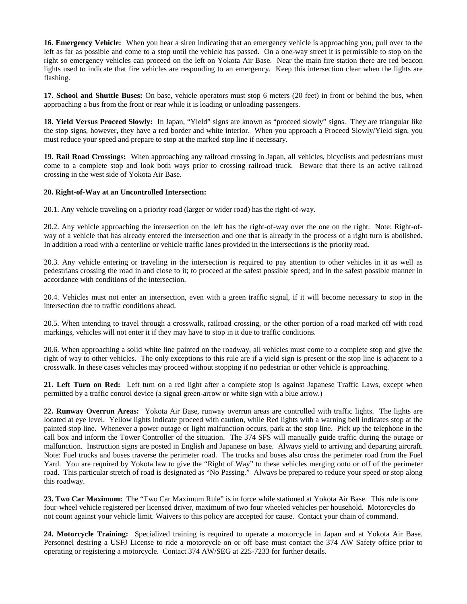**16. Emergency Vehicle:** When you hear a siren indicating that an emergency vehicle is approaching you, pull over to the left as far as possible and come to a stop until the vehicle has passed. On a one-way street it is permissible to stop on the right so emergency vehicles can proceed on the left on Yokota Air Base. Near the main fire station there are red beacon lights used to indicate that fire vehicles are responding to an emergency. Keep this intersection clear when the lights are flashing.

**17. School and Shuttle Buses:** On base, vehicle operators must stop 6 meters (20 feet) in front or behind the bus, when approaching a bus from the front or rear while it is loading or unloading passengers.

**18. Yield Versus Proceed Slowly:** In Japan, "Yield" signs are known as "proceed slowly" signs. They are triangular like the stop signs, however, they have a red border and white interior. When you approach a Proceed Slowly/Yield sign, you must reduce your speed and prepare to stop at the marked stop line if necessary.

**19. Rail Road Crossings:** When approaching any railroad crossing in Japan, all vehicles, bicyclists and pedestrians must come to a complete stop and look both ways prior to crossing railroad truck. Beware that there is an active railroad crossing in the west side of Yokota Air Base.

#### **20. Right-of-Way at an Uncontrolled Intersection:**

20.1. Any vehicle traveling on a priority road (larger or wider road) has the right-of-way.

20.2. Any vehicle approaching the intersection on the left has the right-of-way over the one on the right. Note: Right-ofway of a vehicle that has already entered the intersection and one that is already in the process of a right turn is abolished. In addition a road with a centerline or vehicle traffic lanes provided in the intersections is the priority road.

20.3. Any vehicle entering or traveling in the intersection is required to pay attention to other vehicles in it as well as pedestrians crossing the road in and close to it; to proceed at the safest possible speed; and in the safest possible manner in accordance with conditions of the intersection.

20.4. Vehicles must not enter an intersection, even with a green traffic signal, if it will become necessary to stop in the intersection due to traffic conditions ahead.

20.5. When intending to travel through a crosswalk, railroad crossing, or the other portion of a road marked off with road markings, vehicles will not enter it if they may have to stop in it due to traffic conditions.

20.6. When approaching a solid white line painted on the roadway, all vehicles must come to a complete stop and give the right of way to other vehicles. The only exceptions to this rule are if a yield sign is present or the stop line is adjacent to a crosswalk. In these cases vehicles may proceed without stopping if no pedestrian or other vehicle is approaching.

**21. Left Turn on Red:** Left turn on a red light after a complete stop is against Japanese Traffic Laws, except when permitted by a traffic control device (a signal green-arrow or white sign with a blue arrow.)

**22. Runway Overrun Areas:** Yokota Air Base, runway overrun areas are controlled with traffic lights. The lights are located at eye level. Yellow lights indicate proceed with caution, while Red lights with a warning bell indicates stop at the painted stop line. Whenever a power outage or light malfunction occurs, park at the stop line. Pick up the telephone in the call box and inform the Tower Controller of the situation. The 374 SFS will manually guide traffic during the outage or malfunction. Instruction signs are posted in English and Japanese on base. Always yield to arriving and departing aircraft. Note: Fuel trucks and buses traverse the perimeter road. The trucks and buses also cross the perimeter road from the Fuel Yard. You are required by Yokota law to give the "Right of Way" to these vehicles merging onto or off of the perimeter road. This particular stretch of road is designated as "No Passing." Always be prepared to reduce your speed or stop along this roadway.

**23. Two Car Maximum:** The "Two Car Maximum Rule" is in force while stationed at Yokota Air Base. This rule is one four-wheel vehicle registered per licensed driver, maximum of two four wheeled vehicles per household. Motorcycles do not count against your vehicle limit. Waivers to this policy are accepted for cause. Contact your chain of command.

**24. Motorcycle Training:** Specialized training is required to operate a motorcycle in Japan and at Yokota Air Base. Personnel desiring a USFJ License to ride a motorcycle on or off base must contact the 374 AW Safety office prior to operating or registering a motorcycle. Contact 374 AW/SEG at 225-7233 for further details.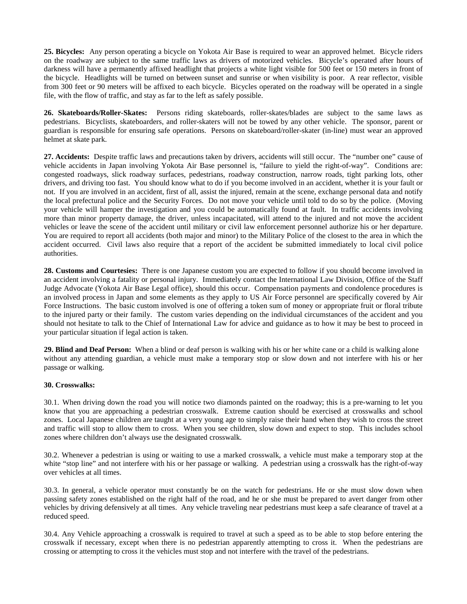**25. Bicycles:** Any person operating a bicycle on Yokota Air Base is required to wear an approved helmet. Bicycle riders on the roadway are subject to the same traffic laws as drivers of motorized vehicles. Bicycle's operated after hours of darkness will have a permanently affixed headlight that projects a white light visible for 500 feet or 150 meters in front of the bicycle. Headlights will be turned on between sunset and sunrise or when visibility is poor. A rear reflector, visible from 300 feet or 90 meters will be affixed to each bicycle. Bicycles operated on the roadway will be operated in a single file, with the flow of traffic, and stay as far to the left as safely possible.

**26. Skateboards/Roller-Skates:** Persons riding skateboards, roller-skates/blades are subject to the same laws as pedestrians. Bicyclists, skateboarders, and roller-skaters will not be towed by any other vehicle. The sponsor, parent or guardian is responsible for ensuring safe operations. Persons on skateboard/roller-skater (in-line) must wear an approved helmet at skate park.

**27. Accidents:** Despite traffic laws and precautions taken by drivers, accidents will still occur. The "number one" cause of vehicle accidents in Japan involving Yokota Air Base personnel is, "failure to yield the right-of-way". Conditions are: congested roadways, slick roadway surfaces, pedestrians, roadway construction, narrow roads, tight parking lots, other drivers, and driving too fast. You should know what to do if you become involved in an accident, whether it is your fault or not. If you are involved in an accident, first of all, assist the injured, remain at the scene, exchange personal data and notify the local prefectural police and the Security Forces. Do not move your vehicle until told to do so by the police. (Moving your vehicle will hamper the investigation and you could be automatically found at fault. In traffic accidents involving more than minor property damage, the driver, unless incapacitated, will attend to the injured and not move the accident vehicles or leave the scene of the accident until military or civil law enforcement personnel authorize his or her departure. You are required to report all accidents (both major and minor) to the Military Police of the closest to the area in which the accident occurred. Civil laws also require that a report of the accident be submitted immediately to local civil police authorities.

**28. Customs and Courtesies:** There is one Japanese custom you are expected to follow if you should become involved in an accident involving a fatality or personal injury. Immediately contact the International Law Division, Office of the Staff Judge Advocate (Yokota Air Base Legal office), should this occur. Compensation payments and condolence procedures is an involved process in Japan and some elements as they apply to US Air Force personnel are specifically covered by Air Force Instructions. The basic custom involved is one of offering a token sum of money or appropriate fruit or floral tribute to the injured party or their family. The custom varies depending on the individual circumstances of the accident and you should not hesitate to talk to the Chief of International Law for advice and guidance as to how it may be best to proceed in your particular situation if legal action is taken.

**29. Blind and Deaf Person:** When a blind or deaf person is walking with his or her white cane or a child is walking alone without any attending guardian, a vehicle must make a temporary stop or slow down and not interfere with his or her passage or walking.

#### **30. Crosswalks:**

30.1. When driving down the road you will notice two diamonds painted on the roadway; this is a pre-warning to let you know that you are approaching a pedestrian crosswalk. Extreme caution should be exercised at crosswalks and school zones. Local Japanese children are taught at a very young age to simply raise their hand when they wish to cross the street and traffic will stop to allow them to cross. When you see children, slow down and expect to stop. This includes school zones where children don't always use the designated crosswalk.

30.2. Whenever a pedestrian is using or waiting to use a marked crosswalk, a vehicle must make a temporary stop at the white "stop line" and not interfere with his or her passage or walking. A pedestrian using a crosswalk has the right-of-way over vehicles at all times.

30.3. In general, a vehicle operator must constantly be on the watch for pedestrians. He or she must slow down when passing safety zones established on the right half of the road, and he or she must be prepared to avert danger from other vehicles by driving defensively at all times. Any vehicle traveling near pedestrians must keep a safe clearance of travel at a reduced speed.

30.4. Any Vehicle approaching a crosswalk is required to travel at such a speed as to be able to stop before entering the crosswalk if necessary, except when there is no pedestrian apparently attempting to cross it. When the pedestrians are crossing or attempting to cross it the vehicles must stop and not interfere with the travel of the pedestrians.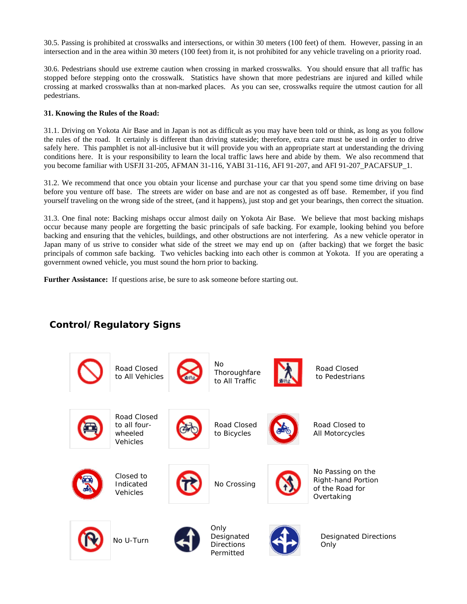30.5. Passing is prohibited at crosswalks and intersections, or within 30 meters (100 feet) of them. However, passing in an intersection and in the area within 30 meters (100 feet) from it, is not prohibited for any vehicle traveling on a priority road.

30.6. Pedestrians should use extreme caution when crossing in marked crosswalks. You should ensure that all traffic has stopped before stepping onto the crosswalk. Statistics have shown that more pedestrians are injured and killed while crossing at marked crosswalks than at non-marked places. As you can see, crosswalks require the utmost caution for all pedestrians.

#### **31. Knowing the Rules of the Road:**

31.1. Driving on Yokota Air Base and in Japan is not as difficult as you may have been told or think, as long as you follow the rules of the road. It certainly is different than driving stateside; therefore, extra care must be used in order to drive safely here. This pamphlet is not all-inclusive but it will provide you with an appropriate start at understanding the driving conditions here. It is your responsibility to learn the local traffic laws here and abide by them. We also recommend that you become familiar with USFJI 31-205, AFMAN 31-116, YABI 31-116, AFI 91-207, and AFI 91-207\_PACAFSUP\_1.

31.2. We recommend that once you obtain your license and purchase your car that you spend some time driving on base before you venture off base. The streets are wider on base and are not as congested as off base. Remember, if you find yourself traveling on the wrong side of the street, (and it happens), just stop and get your bearings, then correct the situation.

31.3. One final note: Backing mishaps occur almost daily on Yokota Air Base. We believe that most backing mishaps occur because many people are forgetting the basic principals of safe backing. For example, looking behind you before backing and ensuring that the vehicles, buildings, and other obstructions are not interfering. As a new vehicle operator in Japan many of us strive to consider what side of the street we may end up on (after backing) that we forget the basic principals of common safe backing. Two vehicles backing into each other is common at Yokota. If you are operating a government owned vehicle, you must sound the horn prior to backing.

**Further Assistance:** If questions arise, be sure to ask someone before starting out.

## **Control/Regulatory Signs**

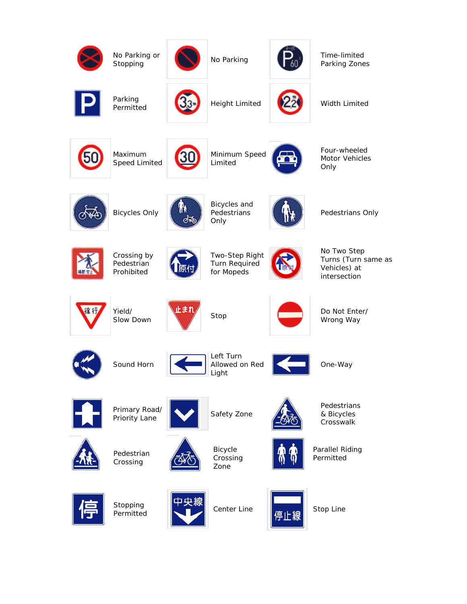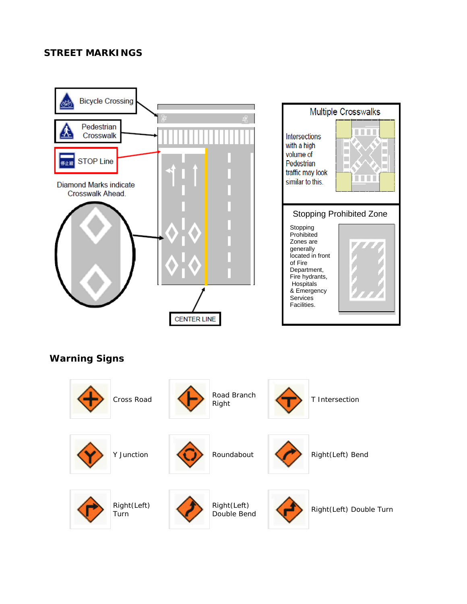### **STREET MARKINGS**





Right(Left) Turn

Right(Left)

Right(Left) Double Turn<br>Double Bend **Right(Left)** Double Turn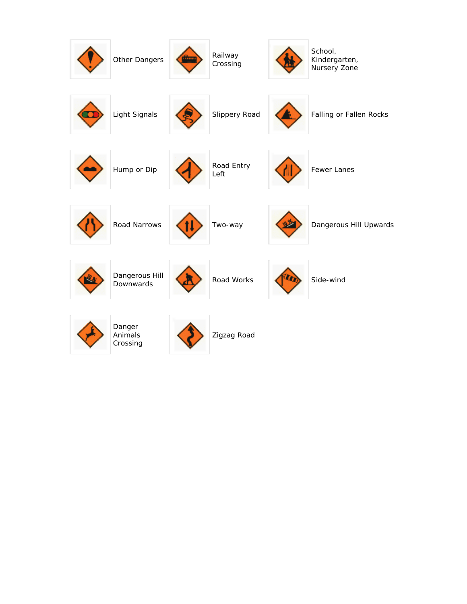